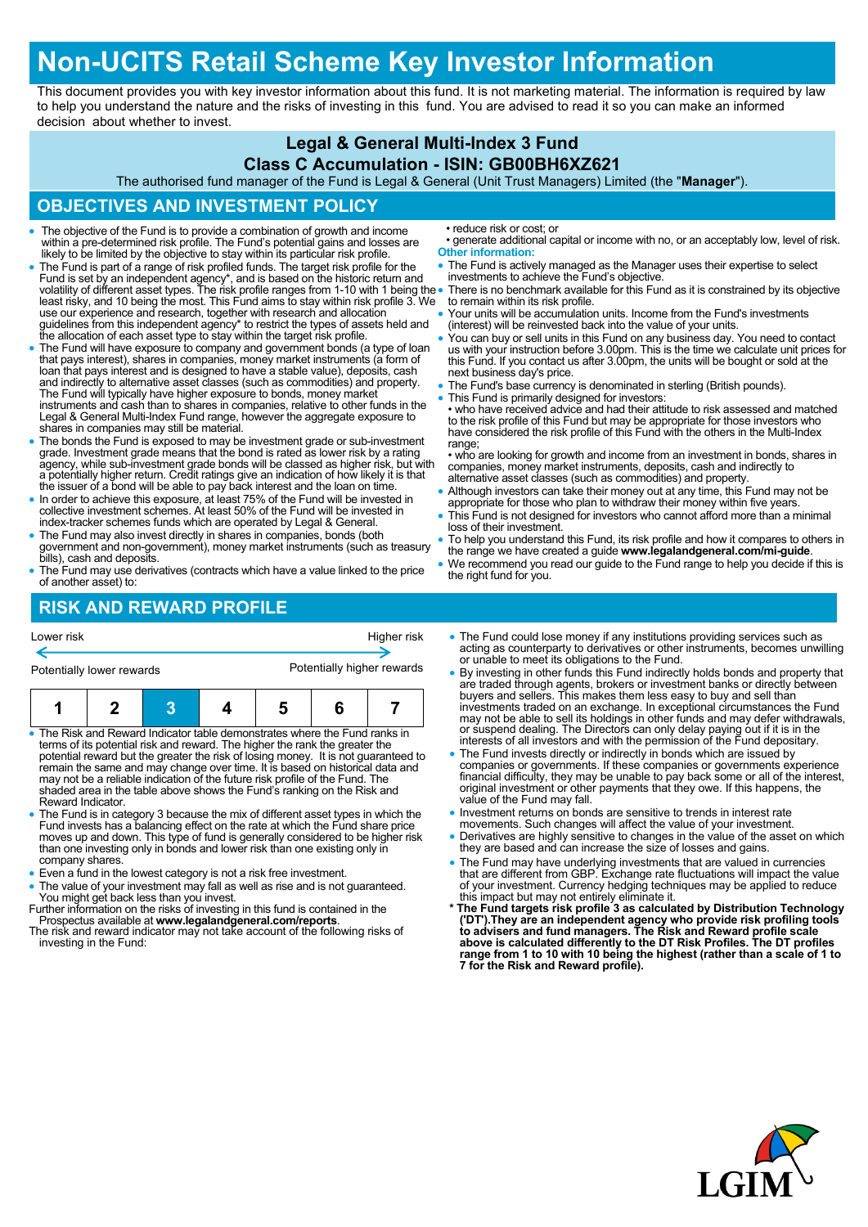# **Non-UCITS Retail Scheme Key Investor Information**

This document provides you with key investor information about this fund. It is not marketing material. The information is required by law to help you understand the nature and the risks of investing in this fund. You are advised to read it so you can make an informed decision about whether to invest.

### **Legal & General Multi-Index 3 Fund**

#### **Class C Accumulation - ISIN: GB00BH6XZ621**

The authorised fund manager of the Fund is Legal & General (Unit Trust Managers) Limited (the "**Manager**").

### **OBJECTIVES AND INVESTMENT POLICY**

- The objective of the Fund is to provide a combination of growth and income within a pre-determined risk profile. The Fund's potential gains and losses are likely to be limited by the objective to stay within its particular risk profile.
- The Fund is part of a range of risk profiled funds. The target risk profile for the Fund is set by an independent agency\*, and is based on the historic return and<br>volatility of different asset types. The risk profile ranges from 1-10 with 1 being the<br>least risky, and 10 being the most. This Fund aims to s use our experience and research, together with research and allocation guidelines from this independent agency\* to restrict the types of assets held and the allocation of each asset type to stay within the target risk profile.
- The Fund will have exposure to company and government bonds (a type of loan that pays interest), shares in companies, money market instruments (a form of loan that pays interest and is designed to have a stable value), deposits, cash and indirectly to alternative asset classes (such as commodities) and property.<br>The Fund will typically have higher exposure to bonds, money market<br>instruments and cash than to shares in companies, relative to other funds Legal & General Multi-Index Fund range, however the aggregate exposure to shares in companies may still be material.
- The bonds the Fund is exposed to may be investment grade or sub-investment grade. Investment grade means that the bond is rated as lower risk by a rating agency, while sub-investment grade bonds will be classed as higher risk, but with a potentially higher return. Credit ratings give an indication of how likely it is that the issuer of a bond will be able to pay back interest and the loan on time.
- In order to achieve this exposure, at least 75% of the Fund will be invested in collective investment schemes. At least 50% of the Fund will be invested in index-tracker schemes funds which are operated by Legal & General.
- The Fund may also invest directly in shares in companies, bonds (both government and non-government), money market instruments (such as treasury bills), cash and deposits.
- The Fund may use derivatives (contracts which have a value linked to the price of another asset) to:

• reduce risk or cost; or

- generate additional capital or income with no, or an acceptably low, level of risk. **Other information:**
- The Fund is actively managed as the Manager uses their expertise to select investments to achieve the Fund's objective.
- There is no benchmark available for this Fund as it is constrained by its objective to remain within its risk profile.
- Your units will be accumulation units. Income from the Fund's investments (interest) will be reinvested back into the value of your units.
- You can buy or sell units in this Fund on any business day. You need to contact us with your instruction before 3.00pm. This is the time we calculate unit prices for this Fund. If you contact us after 3.00pm, the units will be bought or sold at the next business day's price.
- The Fund's base currency is denominated in sterling (British pounds).
- This Fund is primarily designed for investors:

• who have received advice and had their attitude to risk assessed and matched to the risk profile of this Fund but may be appropriate for those investors who have considered the risk profile of this Fund with the others in the Multi-Index range:

• who are looking for growth and income from an investment in bonds, shares in companies, money market instruments, deposits, cash and indirectly to alternative asset classes (such as commodities) and property.

- Although investors can take their money out at any time, this Fund may not be appropriate for those who plan to withdraw their money within five years.
- This Fund is not designed for investors who cannot afford more than a minimal loss of their investment.
- To help you understand this Fund, its risk profile and how it compares to others in the range we have created a guide **www.legalandgeneral.com/mi-guide**.
- We recommend you read our guide to the Fund range to help you decide if this is the right fund for you.

# **RISK AND REWARD PROFILE**

| Lower risk                                                                                                                                                |  |  |  | Higher risk                |  |  |  |
|-----------------------------------------------------------------------------------------------------------------------------------------------------------|--|--|--|----------------------------|--|--|--|
| Potentially lower rewards                                                                                                                                 |  |  |  | Potentially higher rewards |  |  |  |
|                                                                                                                                                           |  |  |  | 5                          |  |  |  |
| • The Risk and Reward Indicator table demonstrates where the Fund ranks in<br>terms of its potential risk and reward. The higher the rank the greater the |  |  |  |                            |  |  |  |

- potential reward but the greater the risk of losing money. It is not guaranteed to remain the same and may change over time. It is based on historical data and may not be a reliable indication of the future risk profile of the Fund. The shaded area in the table above shows the Fund's ranking on the Risk and Reward Indicator.
- The Fund is in category 3 because the mix of different asset types in which the Fund invests has a balancing effect on the rate at which the Fund share price moves up and down. This type of fund is generally considered to be higher risk than one investing only in bonds and lower risk than one existing only in company shares.
- Even a fund in the lowest category is not a risk free investment.
- The value of your investment may fall as well as rise and is not guaranteed. You might get back less than you invest.
- Further information on the risks of investing in this fund is contained in the Prospectus available at **www.legalandgeneral.com/reports**.
- The risk and reward indicator may not take account of the following risks of investing in the Fund:
- The Fund could lose money if any institutions providing services such as acting as counterparty to derivatives or other instruments, becomes unwilling or unable to meet its obligations to the Fund.
- By investing in other funds this Fund indirectly holds bonds and property that are traded through agents, brokers or investment banks or directly between buyers and sellers. This makes them less easy to buy and sell than investments traded on an exchange. In exceptional circumstances the Fund may not be able to sell its holdings in other funds and may defer withdrawals, or suspend dealing. The Directors can only delay paying out if it is in the interests of all investors and with the permission of the Fund depositary.
- The Fund invests directly or indirectly in bonds which are issued by companies or governments. If these companies or governments experience financial difficulty, they may be unable to pay back some or all of the interest, original investment or other payments that they owe. If this happens, the value of the Fund may fall.
- Investment returns on bonds are sensitive to trends in interest rate movements. Such changes will affect the value of your investment.
- Derivatives are highly sensitive to changes in the value of the asset on which they are based and can increase the size of losses and gains.
- 
- The Fund may have underlying investments that are valued in currencies<br>that are different from GBP. Exchange rate fluctuations will impact the value<br>of your investment. Currency hedging techniques may be applied to reduc